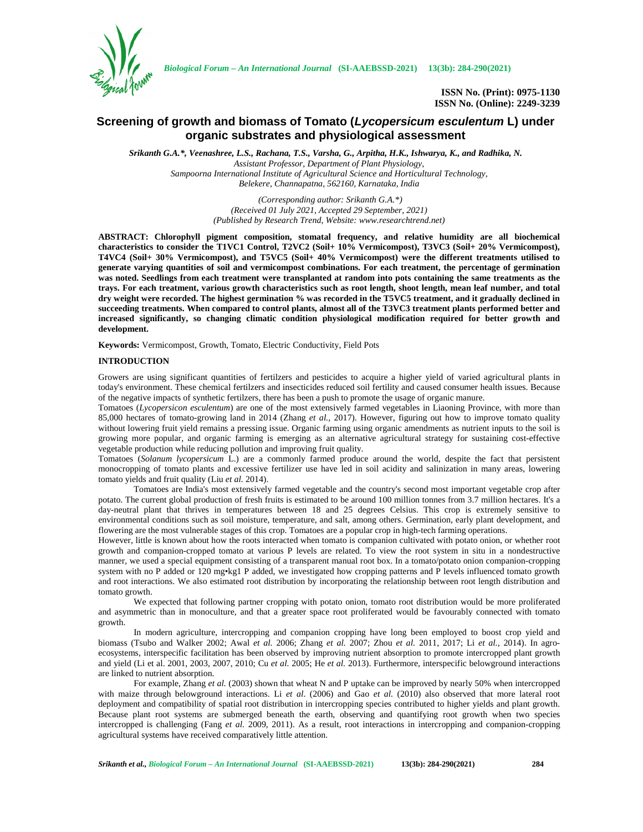

*Biological Forum – An International Journal* **(SI-AAEBSSD-2021) 13(3b): 284-290(2021)**

**ISSN No. (Print): 0975-1130 ISSN No. (Online): 2249-3239**

# **Screening of growth and biomass of Tomato (***Lycopersicum esculentum* **L) under organic substrates and physiological assessment**

*Srikanth G.A.\*, Veenashree, L.S., Rachana, T.S., Varsha, G., Arpitha, H.K., Ishwarya, K., and Radhika, N. Assistant Professor, Department of Plant Physiology, Sampoorna International Institute of Agricultural Science and Horticultural Technology, Belekere, Channapatna, 562160, Karnataka, India*

> *(Corresponding author: Srikanth G.A.\*) (Received 01 July 2021, Accepted 29 September, 2021) (Published by Research Trend, Website: <www.researchtrend.net>)*

**ABSTRACT: Chlorophyll pigment composition, stomatal frequency, and relative humidity are all biochemical characteristics to consider the T1VC1 Control, T2VC2 (Soil+ 10% Vermicompost), T3VC3 (Soil+ 20% Vermicompost), T4VC4 (Soil+ 30% Vermicompost), and T5VC5 (Soil+ 40% Vermicompost) were the different treatments utilised to generate varying quantities of soil and vermicompost combinations. For each treatment, the percentage of germination was noted. Seedlings from each treatment were transplanted at random into pots containing the same treatments as the trays. For each treatment, various growth characteristics such as root length, shoot length, mean leaf number, and total dry weight were recorded. The highest germination % was recorded in the T5VC5 treatment, and it gradually declined in succeeding treatments. When compared to control plants, almost all of the T3VC3 treatment plants performed better and increased significantly, so changing climatic condition physiological modification required for better growth and development.**

**Keywords:** Vermicompost, Growth, Tomato, Electric Conductivity, Field Pots

## **INTRODUCTION**

Growers are using significant quantities of fertilzers and pesticides to acquire a higher yield of varied agricultural plants in today's environment. These chemical fertilzers and insecticides reduced soil fertility and caused consumer health issues. Because of the negative impacts of synthetic fertilzers, there has been a push to promote the usage of organic manure.

Tomatoes (*Lycopersicon esculentum*) are one of the most extensively farmed vegetables in Liaoning Province, with more than 85,000 hectares of tomato-growing land in 2014 (Zhang *et al.,* 2017). However, figuring out how to improve tomato quality without lowering fruit yield remains a pressing issue. Organic farming using organic amendments as nutrient inputs to the soil is growing more popular, and organic farming is emerging as an alternative agricultural strategy for sustaining cost-effective vegetable production while reducing pollution and improving fruit quality.

Tomatoes (*Solanum lycopersicum* L.) are a commonly farmed produce around the world, despite the fact that persistent monocropping of tomato plants and excessive fertilizer use have led in soil acidity and salinization in many areas, lowering tomato yields and fruit quality (Liu *et al.* 2014).

Tomatoes are India's most extensively farmed vegetable and the country's second most important vegetable crop after potato. The current global production of fresh fruits is estimated to be around 100 million tonnes from 3.7 million hectares. It's a day-neutral plant that thrives in temperatures between 18 and 25 degrees Celsius. This crop is extremely sensitive to environmental conditions such as soil moisture, temperature, and salt, among others. Germination, early plant development, and flowering are the most vulnerable stages of this crop. Tomatoes are a popular crop in high-tech farming operations.

However, little is known about how the roots interacted when tomato is companion cultivated with potato onion, or whether root growth and companion-cropped tomato at various P levels are related. To view the root system in situ in a nondestructive manner, we used a special equipment consisting of a transparent manual root box. In a tomato/potato onion companion-cropping system with no P added or 120 mg•kg1 P added, we investigated how cropping patterns and P levels influenced tomato growth and root interactions. We also estimated root distribution by incorporating the relationship between root length distribution and tomato growth.

We expected that following partner cropping with potato onion, tomato root distribution would be more proliferated and asymmetric than in monoculture, and that a greater space root proliferated would be favourably connected with tomato growth.

In modern agriculture, intercropping and companion cropping have long been employed to boost crop yield and biomass (Tsubo and Walker 2002; Awal *et al.* 2006; Zhang *et al.* 2007; Zhou *et al.* 2011, 2017; Li *et al.,* 2014). In agro ecosystems, interspecific facilitation has been observed by improving nutrient absorption to promote intercropped plant growth and yield (Li et al. 2001, 2003, 2007, 2010; Cu *et al.* 2005; He *et al.* 2013). Furthermore, interspecific belowground interactions are linked to nutrient absorption.

For example, Zhang *et al.* (2003) shown that wheat N and P uptake can be improved by nearly 50% when intercropped with maize through belowground interactions. Li *et al*. (2006) and Gao *et al.* (2010) also observed that more lateral root deployment and compatibility of spatial root distribution in intercropping species contributed to higher yields and plant growth. Because plant root systems are submerged beneath the earth, observing and quantifying root growth when two species intercropped is challenging (Fang *et al.* 2009, 2011). As a result, root interactions in intercropping and companion-cropping agricultural systems have received comparatively little attention.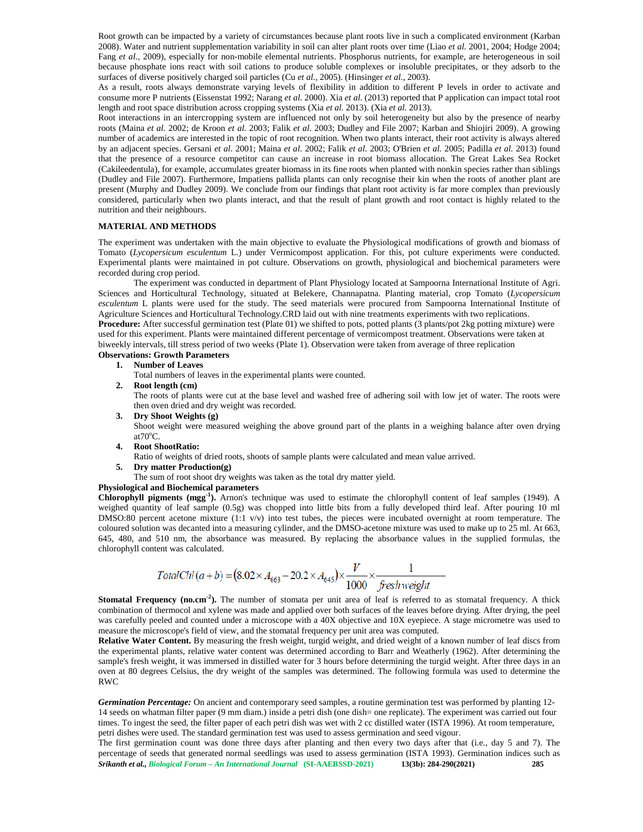Root growth can be impacted by a variety of circumstances because plant roots live in such a complicated environment (Karban 2008). Water and nutrient supplementation variability in soil can alter plant roots over time (Liao *et al.* 2001, 2004; Hodge 2004; Fang et al., 2009), especially for non-mobile elemental nutrients. Phosphorus nutrients, for example, are heterogeneous in soil because phosphate ions react with soil cations to produce soluble complexes or insoluble precipitates, or they adsorb to the surfaces of diverse positively charged soil particles (Cu *et al.,* 2005). (Hinsinger *et al.,* 2003).

As a result, roots always demonstrate varying levels of flexibility in addition to different P levels in order to activate and consume more P nutrients (Eissenstat 1992; Narang *et al.* 2000). Xia *et al.* (2013) reported that P application can impact total root length and root space distribution across cropping systems (Xia *et al.* 2013). (Xia *et al.* 2013).

Root interactions in an intercropping system are influenced not only by soil heterogeneity but also by the presence of nearby roots (Maina *et al.* 2002; de Kroon *et al.* 2003; Falik *et al*. 2003; Dudley and File 2007; Karban and Shiojiri 2009). A growing number of academics are interested in the topic of root recognition. When two plants interact, their root activity is always altered by an adjacent species. Gersani *et al*. 2001; Maina *et al.* 2002; Falik *et al.* 2003; O'Brien *et al.* 2005; Padilla *et al.* 2013) found that the presence of a resource competitor can cause an increase in root biomass allocation. The Great Lakes Sea Rocket (Cakileedentula), for example, accumulates greater biomass in its fine roots when planted with nonkin species rather than siblings (Dudley and File 2007). Furthermore, Impatiens pallida plants can only recognise their kin when the roots of another plant are present (Murphy and Dudley 2009). We conclude from our findings that plant root activity is far more complex than previously considered, particularly when two plants interact, and that the result of plant growth and root contact is highly related to the nutrition and their neighbours.

# **MATERIAL AND METHODS**

The experiment was undertaken with the main objective to evaluate the Physiological modifications of growth and biomass of Tomato (*Lycopersicum esculentum* L.) under Vermicompost application. For this, pot culture experiments were conducted. Experimental plants were maintained in pot culture. Observations on growth, physiological and biochemical parameters were recorded during crop period.

The experiment was conducted in department of Plant Physiology located at Sampoorna International Institute of Agri. Sciences and Horticultural Technology, situated at Belekere, Channapatna. Planting material, crop Tomato (*Lycopersicum esculentum* L plants were used for the study. The seed materials were procured from Sampoorna International Institute of Agriculture Sciences and Horticultural Technology.CRD laid out with nine treatments experiments with two replications. **Procedure:** After successful germination test (Plate 01) we shifted to pots, potted plants (3 plants/pot 2kg potting mixture) were used for this experiment. Plants were maintained different percentage of vermicompost treatment. Observations were taken at biweekly intervals, till stress period of two weeks (Plate 1). Observation were taken from average of three replication **Observations: Growth Parameters**

#### **1. Number of Leaves**

Total numbers of leaves in the experimental plants were counted.

**2. Root length (cm)**

The roots of plants were cut at the base level and washed free of adhering soil with low jet of water. The roots were then oven dried and dry weight was recorded.

- **3. Dry Shoot Weights (g)** Shoot weight were measured weighing the above ground part of the plants in a weighing balance after oven drying at $70^{\circ}$ C.
- **4. Root ShootRatio:**

Ratio of weights of dried roots, shoots of sample plants were calculated and mean value arrived.

**5. Dry matter Production(g)**

The sum of root shoot dry weights was taken as the total dry matter yield.

#### **Physiological and Biochemical parameters**

**Chlorophyll pigments (mgg-1 ).** Arnon's technique was used to estimate the chlorophyll content of leaf samples (1949). A weighed quantity of leaf sample (0.5g) was chopped into little bits from a fully developed third leaf. After pouring 10 ml DMSO:80 percent acetone mixture (1:1 v/v) into test tubes, the pieces were incubated overnight at room temperature. The coloured solution was decanted into a measuring cylinder, and the DMSO-acetone mixture was used to make up to 25 ml. At 663, 645, 480, and 510 nm, the absorbance was measured. By replacing the absorbance values in the supplied formulas, the chlorophyll content was calculated.

TotalChl (a + b) = 
$$
(8.02 \times A_{663} - 20.2 \times A_{645}) \times \frac{V}{1000} \times \frac{1}{\text{freshweight}}
$$

**Stomatal Frequency (no.cm<sup>2</sup>).** The number of stomata per unit area of leaf is referred to as stomatal frequency. A thick combination of thermocol and xylene was made and applied over both surfaces of the leaves before drying. After drying, the peel was carefully peeled and counted under a microscope with a 40X objective and 10X eyepiece. A stage micrometre was used to measure the microscope's field of view, and the stomatal frequency per unit area was computed.

**Relative Water Content.** By measuring the fresh weight, turgid weight, and dried weight of a known number of leaf discs from the experimental plants, relative water content was determined according to Barr and Weatherly (1962). After determining the sample's fresh weight, it was immersed in distilled water for 3 hours before determining the turgid weight. After three days in an oven at 80 degrees Celsius, the dry weight of the samples was determined. The following formula was used to determine the RWC

*Germination Percentage:* On ancient and contemporary seed samples, a routine germination test was performed by planting 12- 14 seeds on whatman filter paper (9 mm diam.) inside a petri dish (one dish= one replicate). The experiment was carried out four times. To ingest the seed, the filter paper of each petri dish was wet with 2 cc distilled water (ISTA 1996). At room temperature, petri dishes were used. The standard germination test was used to assess germination and seed vigour.

*Srikanth et al., Biological Forum – An International Journal* **(SI-AAEBSSD-2021) 13(3b): 284-290(2021) 285** The first germination count was done three days after planting and then every two days after that (i.e., day 5 and 7). The percentage of seeds that generated normal seedlings was used to assess germination (ISTA 1993). Germination indices such as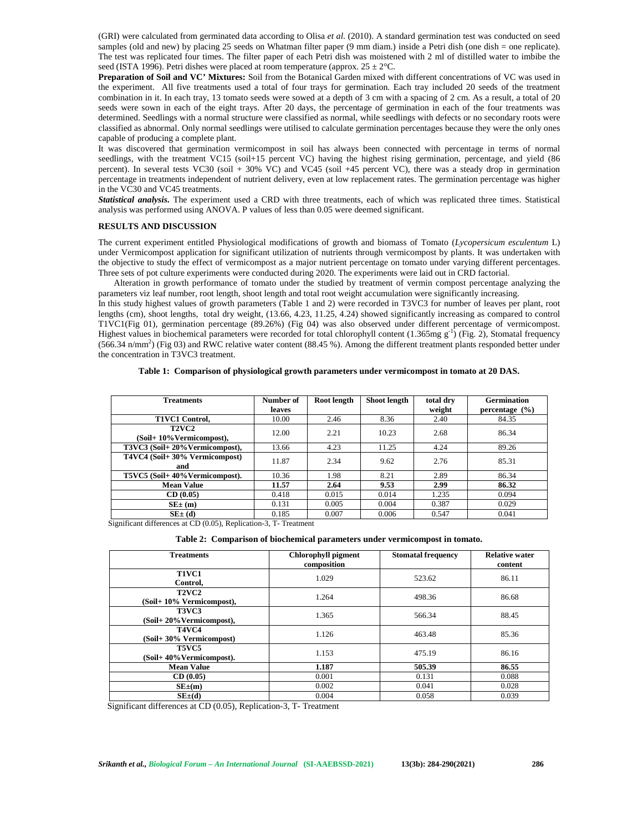(GRI) were calculated from germinated data according to Olisa *et al.* (2010). A standard germination test was conducted on seed samples (old and new) by placing 25 seeds on Whatman filter paper (9 mm diam.) inside a Petri dish (one dish = one replicate). The test was replicated four times. The filter paper of each Petri dish was moistened with 2 ml of distilled water to imbibe the seed (ISTA 1996). Petri dishes were placed at room temperature (approx.  $25 \pm 2^{\circ}$ C.

**Preparation of Soil and VC' Mixtures:** Soil from the Botanical Garden mixed with different concentrations of VC was used in the experiment. All five treatments used a total of four trays for germination. Each tray included 20 seeds of the treatment combination in it. In each tray, 13 tomato seeds were sowed at a depth of 3 cm with a spacing of 2 cm. As a result, a total of 20 seeds were sown in each of the eight trays. After 20 days, the percentage of germination in each of the four treatments was determined. Seedlings with a normal structure were classified as normal, while seedlings with defects or no secondary roots were classified as abnormal. Only normal seedlings were utilised to calculate germination percentages because they were the only ones capable of producing a complete plant.

It was discovered that germination vermicompost in soil has always been connected with percentage in terms of normal seedlings, with the treatment VC15 (soil+15 percent VC) having the highest rising germination, percentage, and yield (86 percent). In several tests VC30 (soil + 30% VC) and VC45 (soil +45 percent VC), there was a steady drop in germination percentage in treatments independent of nutrient delivery, even at low replacement rates. The germination percentage was higher in the VC30 and VC45 treatments.

*Statistical analysis.* The experiment used a CRD with three treatments, each of which was replicated three times. Statistical analysis was performed using ANOVA. P values of less than 0.05 were deemed significant.

#### **RESULTS AND DISCUSSION**

The current experiment entitled Physiological modifications of growth and biomass of Tomato (*Lycopersicum esculentum* L) under Vermicompost application for significant utilization of nutrients through vermicompost by plants. It was undertaken with the objective to study the effect of vermicompost as a major nutrient percentage on tomato under varying different percentages. Three sets of pot culture experiments were conducted during 2020. The experiments were laid out in CRD factorial.

Alteration in growth performance of tomato under the studied by treatment of vermin compost percentage analyzing the parameters viz leaf number, root length, shoot length and total root weight accumulation were significantly increasing.

In this study highest values of growth parameters (Table 1 and 2) were recorded in T3VC3 for number of leaves per plant, root lengths (cm), shoot lengths, total dry weight, (13.66, 4.23, 11.25, 4.24) showed significantly increasing as compared to control T1VC1(Fig 01), germination percentage (89.26%) (Fig 04) was also observed under different percentage of vermicompost. Highest values in biochemical parameters were recorded for total chlorophyll content  $(1.365mg g<sup>-1</sup>)$  (Fig. 2), Stomatal frequency (566.34 n/mm<sup>2</sup>) (Fig 03) and RWC relative water content (88.45 %). Among the different treatment plants responded better under the concentration in T3VC3 treatment.

# **Table 1: Comparison of physiological growth parameters under vermicompost in tomato at 20 DAS.**

| <b>Treatments</b>                         | Number of<br>leaves | Root length | Shoot length | total dry<br>weight | <b>Germination</b><br>percentage $(\% )$ |
|-------------------------------------------|---------------------|-------------|--------------|---------------------|------------------------------------------|
| <b>T1VC1 Control,</b>                     | 10.00               | 2.46        | 8.36         | 2.40                | 84.35                                    |
| <b>T2VC2</b><br>(Soil+ 10% Vermicompost), | 12.00               | 2.21        | 10.23        | 2.68                | 86.34                                    |
| T3VC3 (Soil+20%Vermicompost),             | 13.66               | 4.23        | 11.25        | 4.24                | 89.26                                    |
| T4VC4 (Soil+ 30% Vermicompost)<br>and     | 11.87               | 2.34        | 9.62         | 2.76                | 85.31                                    |
| T5VC5 (Soil+40%Vermicompost).             | 10.36               | 1.98        | 8.21         | 2.89                | 86.34                                    |
| <b>Mean Value</b>                         | 11.57               | 2.64        | 9.53         | 2.99                | 86.32                                    |
| CD(0.05)                                  | 0.418               | 0.015       | 0.014        | 1.235               | 0.094                                    |
| $SE_{\pm}(m)$                             | 0.131               | 0.005       | 0.004        | 0.387               | 0.029                                    |
| $SE_{\pm}$ (d)                            | 0.185               | 0.007       | 0.006        | 0.547               | 0.041                                    |

Significant differences at CD (0.05), Replication-3, T- Treatment

# **Table 2: Comparison of biochemical parameters under vermicompost in tomato.**

| <b>Treatments</b>                         | Chlorophyll pigment<br>composition | <b>Stomatal frequency</b> | <b>Relative water</b><br>content |
|-------------------------------------------|------------------------------------|---------------------------|----------------------------------|
| <b>T1VC1</b><br>Control.                  | 1.029                              | 523.62                    | 86.11                            |
| <b>T2VC2</b><br>(Soil+ 10% Vermicompost), | 1.264                              | 498.36                    | 86.68                            |
| T3VC3<br>(Soil+20%Vermicompost),          | 1.365                              | 566.34                    | 88.45                            |
| <b>T4VC4</b><br>(Soil+30% Vermicompost)   | 1.126                              | 463.48                    | 85.36                            |
| <b>T5VC5</b><br>(Soil+40%Vermicompost).   | 1.153                              | 475.19                    | 86.16                            |
| <b>Mean Value</b>                         | 1.187                              | 505.39                    | 86.55                            |
| CD(0.05)                                  | 0.001                              | 0.131                     | 0.088                            |
| $SE_{\pm}(m)$                             | 0.002                              | 0.041                     | 0.028                            |
| $SE{\pm}(d)$                              | 0.004                              | 0.058                     | 0.039                            |

Significant differences at CD (0.05), Replication-3, T- Treatment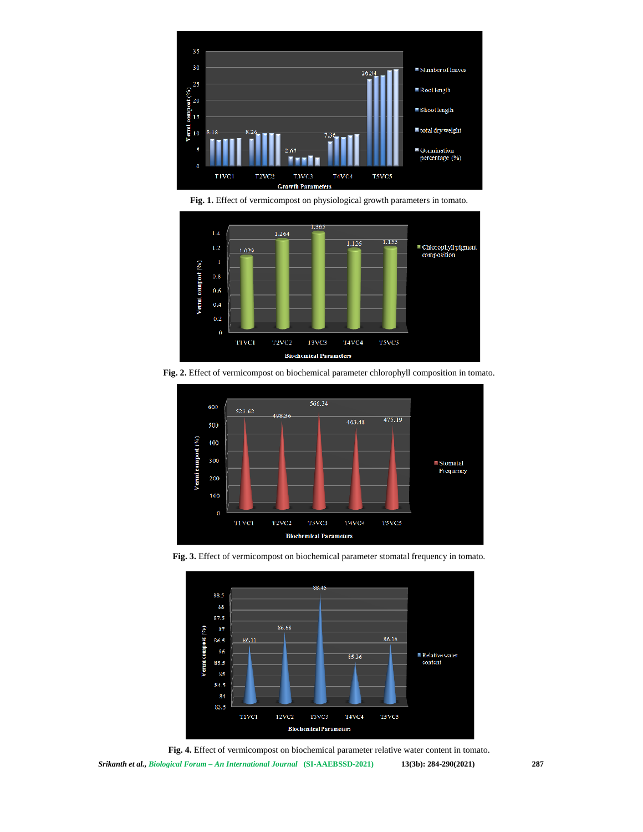

**Fig. 1.** Effect of vermicompost on physiological growth parameters in tomato.



**Fig. 2.** Effect of vermicompost on biochemical parameter chlorophyll composition in tomato.



**Fig. 3.** Effect of vermicompost on biochemical parameter stomatal frequency in tomato.



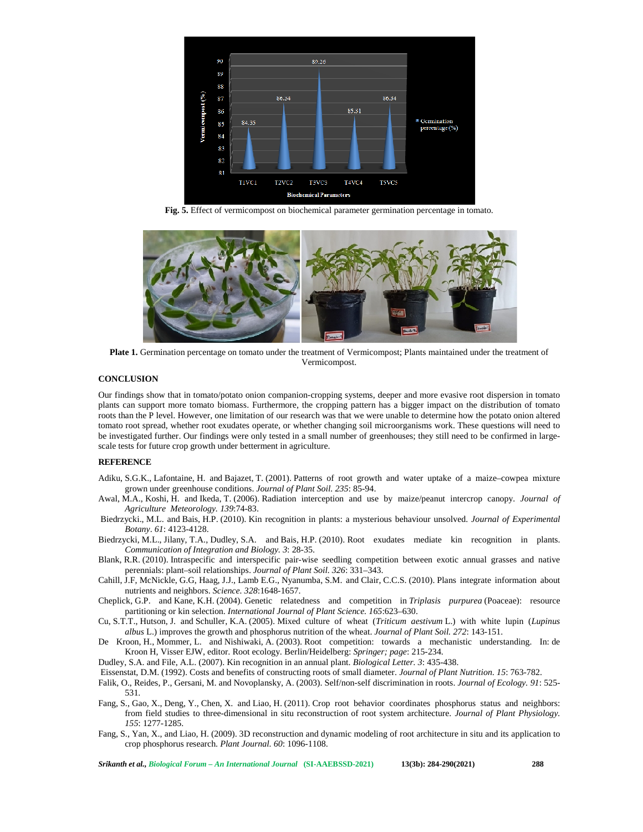

**Fig. 5.** Effect of vermicompost on biochemical parameter germination percentage in tomato.



**Plate 1.** Germination percentage on tomato under the treatment of Vermicompost; Plants maintained under the treatment of Vermicompost.

# **CONCLUSION**

Our findings show that in tomato/potato onion companion-cropping systems, deeper and more evasive root dispersion in tomato plants can support more tomato biomass. Furthermore, the cropping pattern has a bigger impact on the distribution of tomato roots than the P level. However, one limitation of our research was that we were unable to determine how the potato onion altered tomato root spread, whether root exudates operate, or whether changing soil microorganisms work. These questions will need to be investigated further. Our findings were only tested in a small number of greenhouses; they still need to be confirmed in large scale tests for future crop growth under betterment in agriculture.

# **REFERENCE**

- Adiku, S.G.K., Lafontaine, H. and Bajazet, T. (2001). Patterns of root growth and water uptake of a maize–cowpea mixture grown under greenhouse conditions. *Journal of Plant Soil. 235*: 85-94.
- Awal, M.A., Koshi, H. and Ikeda, T. (2006). Radiation interception and use by maize/peanut intercrop canopy. *Journal of Agriculture Meteorology. 139*:74-83.
- Biedrzycki., M.L. and Bais, H.P. (2010). Kin recognition in plants: a mysterious behaviour unsolved. *Journal of Experimental Botany*. *61*: 4123-4128.
- Biedrzycki, M.L., Jilany, T.A., Dudley, S.A. and Bais, H.P. (2010). Root exudates mediate kin recognition in plants. *Communication of Integration and Biology. 3*: 28-35.
- Blank, R.R. (2010). Intraspecific and interspecific pair-wise seedling competition between exotic annual grasses and native perennials: plant–soil relationships. *Journal of Plant Soil. 326*: 331–343.
- Cahill, J.F, McNickle, G.G, Haag, J.J., Lamb E.G., Nyanumba, S.M. and Clair, C.C.S. (2010). Plans integrate information about nutrients and neighbors. *Science. 328*:1648-1657.
- Cheplick, G.P. and Kane, K.H. (2004). Genetic relatedness and competition in *Triplasis purpurea* (Poaceae): resource partitioning or kin selection. *International Journal of Plant Science. 165*:623–630.
- Cu, S.T.T., Hutson, J. and Schuller, K.A. (2005). Mixed culture of wheat (*Triticum aestivum* L.) with white lupin (*Lupinus albus* L.) improves the growth and phosphorus nutrition of the wheat. *Journal of Plant Soil. 272*: 143-151.
- De Kroon, H., Mommer, L. and Nishiwaki, A. (2003). Root competition: towards a mechanistic understanding. In: de Kroon H, Visser EJW, editor. Root ecology. Berlin/Heidelberg: *Springer; page*: 215-234.
- Dudley, S.A. and File, A.L. (2007). Kin recognition in an annual plant. *Biological Letter. 3*: 435-438.

Eissenstat, D.M. (1992). Costs and benefits of constructing roots of small diameter. *Journal of Plant Nutrition. 15*: 763-782.

- Falik, O., Reides, P., Gersani, M. and Novoplansky, A. (2003). Self/non-self discrimination in roots. *Journal of Ecology. 91*: 525- 531.
- Fang, S., Gao, X., Deng, Y., Chen, X. and Liao, H. (2011). Crop root behavior coordinates phosphorus status and neighbors: from field studies to three-dimensional in situ reconstruction of root system architecture. *Journal of Plant Physiology. 155*: 1277-1285.
- Fang, S., Yan, X., and Liao, H. (2009). 3D reconstruction and dynamic modeling of root architecture in situ and its application to crop phosphorus research. *Plant Journal. 60*: 1096-1108.

*Srikanth et al., Biological Forum – An International Journal* **(SI-AAEBSSD-2021) 13(3b): 284-290(2021) 288**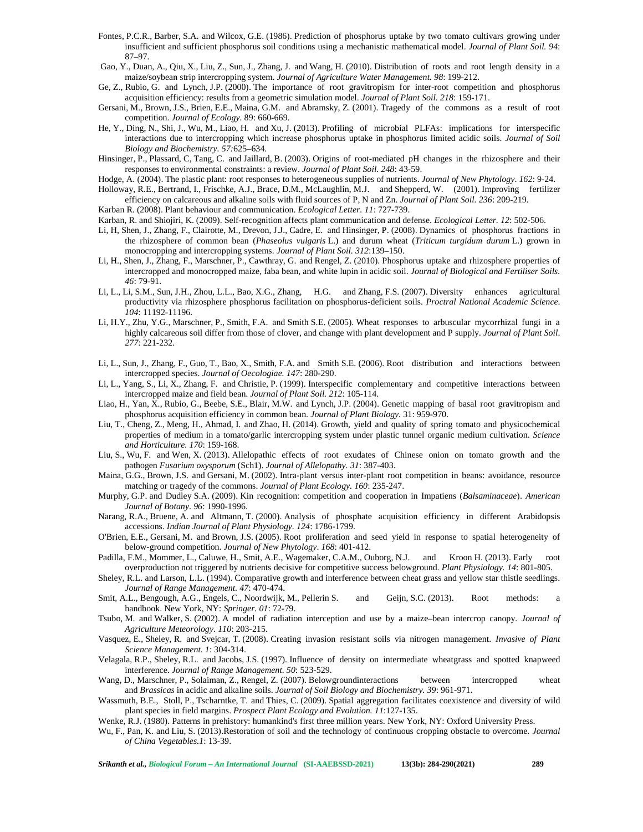- Fontes, P.C.R., Barber, S.A. and Wilcox, G.E. (1986). Prediction of phosphorus uptake by two tomato cultivars growing under insufficient and sufficient phosphorus soil conditions using a mechanistic mathematical model. *Journal of Plant Soil. 94*: 87–97.
- Gao, Y., Duan, A., Qiu, X., Liu, Z., Sun, J., Zhang, J. and Wang, H. (2010). Distribution of roots and root length density in a maize/soybean strip intercropping system. *Journal of Agriculture Water Management. 98*: 199-212.
- Ge, Z., Rubio, G. and Lynch, J.P. (2000). The importance of root gravitropism for inter-root competition and phosphorus acquisition efficiency: results from a geometric simulation model. *Journal of Plant Soil. 218*: 159-171.
- Gersani, M., Brown, J.S., Brien, E.E., Maina, G.M. and Abramsky, Z. (2001). Tragedy of the commons as a result of root competition. *Journal of Ecology.* 89: 660-669.
- He, Y., Ding, N., Shi, J., Wu, M., Liao, H. and Xu, J. (2013). Profiling of microbial PLFAs: implications for interspecific interactions due to intercropping which increase phosphorus uptake in phosphorus limited acidic soils. *Journal of Soil Biology and Biochemistry. 57:*625–634.
- Hinsinger, P., Plassard, C, Tang, C. and Jaillard, B. (2003). Origins of root-mediated pH changes in the rhizosphere and their responses to environmental constraints: a review. *Journal of Plant Soil. 248*: 43-59.
- Hodge, A. (2004). The plastic plant: root responses to heterogeneous supplies of nutrients. *Journal of New Phytology*. *162*: 9-24.
- Holloway, R.E., Bertrand, I., Frischke, A.J., Brace, D.M., McLaughlin, M.J. and Shepperd, W. (2001). Improving fertilizer efficiency on calcareous and alkaline soils with fluid sources of P, N and Zn. *Journal of Plant Soil. 236*: 209-219.
- Karban R. (2008). Plant behaviour and communication. *Ecological Letter. 11*: 727-739.
- Karban, R. and Shiojiri, K. (2009). Self-recognition affects plant communication and defense. *Ecological Letter. 12*: 502-506.
- Li, H, Shen, J., Zhang, F., Clairotte, M., Drevon, J.J., Cadre, E. and Hinsinger, P. (2008). Dynamics of phosphorus fractions in the rhizosphere of common bean (*Phaseolus vulgaris* L.) and durum wheat (*Triticum turgidum durum* L.) grown in monocropping and intercropping systems. *Journal of Plant Soil. 312*:139–150.
- Li, H., Shen, J., Zhang, F., Marschner, P., Cawthray, G. and Rengel, Z. (2010). Phosphorus uptake and rhizosphere properties of intercropped and monocropped maize, faba bean, and white lupin in acidic soil. *Journal of Biological and Fertiliser Soils. 46*: 79-91.
- Li, L., Li, S.M., Sun, J.H., Zhou, L.L., Bao, X.G., Zhang, H.G. and Zhang, F.S. (2007). Diversity enhances agricultural productivity via rhizosphere phosphorus facilitation on phosphorus-deficient soils. *Proctral National Academic Science*. *104*: 11192-11196.
- Li, H.Y., Zhu, Y.G., Marschner, P., Smith, F.A. and Smith S.E.(2005). Wheat responses to arbuscular mycorrhizal fungi in a highly calcareous soil differ from those of clover, and change with plant development and P supply. *Journal of Plant Soil*. *277*: 221-232.
- Li, L., Sun, J., Zhang, F., Guo, T., Bao, X., Smith, F.A. and Smith S.E.(2006). Root distribution and interactions between intercropped species. *Journal of Oecologiae. 147*: 280-290.
- Li, L., Yang, S., Li, X., Zhang, F. and Christie, P. (1999). Interspecific complementary and competitive interactions between intercropped maize and field bean. *Journal of Plant Soil. 212*: 105-114.
- Liao, H., Yan, X., Rubio, G., Beebe, S.E., Blair, M.W. and Lynch, J.P. (2004). Genetic mapping of basal root gravitropism and phosphorus acquisition efficiency in common bean. *Journal of Plant Biology.* 31: 959-970.
- Liu, T., Cheng, Z., Meng, H., Ahmad, I. and Zhao, H. (2014). Growth, yield and quality of spring tomato and physicochemical properties of medium in a tomato/garlic intercropping system under plastic tunnel organic medium cultivation. *Science and Horticulture. 170*: 159-168.
- Liu, S., Wu, F. and Wen, X. (2013). Allelopathic effects of root exudates of Chinese onion on tomato growth and the pathogen *Fusarium oxysporum* (Sch1). *Journal of Allelopathy. 31*: 387-403.
- Maina, G.G., Brown, J.S. and Gersani, M. (2002). Intra-plant versus inter-plant root competition in beans: avoidance, resource matching or tragedy of the commons. *Journal of Plant Ecology. 160*: 235-247.
- Murphy, G.P. and Dudley S.A.(2009). Kin recognition: competition and cooperation in Impatiens (*Balsaminaceae*). *American Journal of Botany*. *96*: 1990-1996.
- Narang, R.A., Bruene, A. and Altmann, T. (2000). Analysis of phosphate acquisition efficiency in different Arabidopsis accessions. *Indian Journal of Plant Physiology. 124*: 1786-1799.
- O'Brien, E.E., Gersani, M. and Brown, J.S. (2005). Root proliferation and seed yield in response to spatial heterogeneity of below-ground competition. *Journal of New Phytology*. *168*: 401-412.
- Padilla, F.M., Mommer, L., Caluwe, H., Smit, A.E., Wagemaker, C.A.M., Ouborg, N.J. and Kroon H. (2013). Early root overproduction not triggered by nutrients decisive for competitive success belowground. *Plant Physiology. 14*: 801-805.
- Sheley, R.L. and Larson, L.L. (1994). Comparative growth and interference between cheat grass and yellow star thistle seedlings. *Journal of Range Management. 47*: 470-474.
- Smit, A.L., Bengough, A.G., Engels, C., Noordwijk, M., Pellerin S. and Geijn, S.C. (2013). Root methods: a handbook. New York, NY: *Springer. 01*: 72-79.
- Tsubo, M. and Walker, S. (2002). A model of radiation interception and use by a maize–bean intercrop canopy. *Journal of Agriculture Meteorology. 110*: 203-215.
- Vasquez, E., Sheley, R. and Svejcar, T. (2008). Creating invasion resistant soils via nitrogen management. *Invasive ofPlant Science Management. 1*: 304-314.
- Velagala, R.P., Sheley, R.L. and Jacobs, J.S. (1997). Influence of density on intermediate wheatgrass and spotted knapweed interference. *Journal of Range Management. 50*: 523-529.
- Wang, D., Marschner, P., Solaiman, Z., Rengel, Z. (2007). Belowgroundinteractions between intercropped wheat and *Brassicas* in acidic and alkaline soils. *Journal of Soil Biology and Biochemistry. 39*: 961-971.
- Wassmuth, B.E., Stoll, P., Tscharntke, T. and Thies, C. (2009). Spatial aggregation facilitates coexistence and diversity of wild plant species in field margins. *Prospect Plant Ecology and Evolution. 11*:127-135.
- Wenke, R.J. (1980). Patterns in prehistory: humankind's first three million years. New York, NY: Oxford University Press.
- Wu, F., Pan, K. and Liu, S. (2013).Restoration of soil and the technology of continuous cropping obstacle to overcome. *Journal of China Vegetables.1*: 13-39.